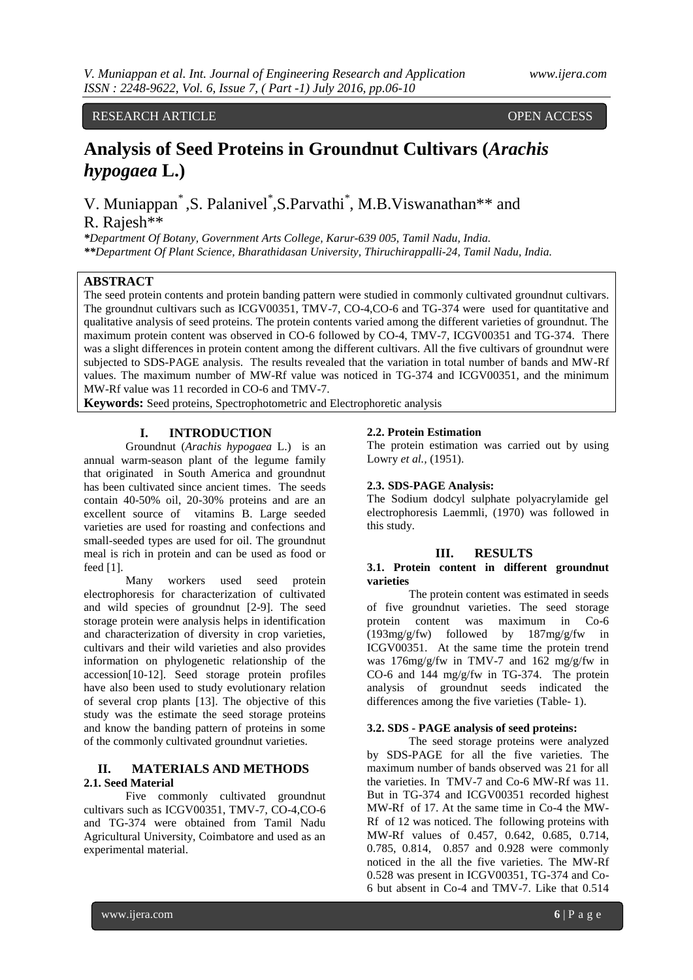RESEARCH ARTICLE OPEN ACCESS

# **Analysis of Seed Proteins in Groundnut Cultivars (***Arachis hypogaea* **L.)**

V. Muniappan<sup>\*</sup>, S. Palanivel<sup>\*</sup>, S. Parvathi<sup>\*</sup>, M.B. Viswanathan<sup>\*\*</sup> and R. Rajesh\*\*

*\*Department Of Botany, Government Arts College, Karur-639 005, Tamil Nadu, India. \*\*Department Of Plant Science, Bharathidasan University, Thiruchirappalli-24, Tamil Nadu, India.*

# **ABSTRACT**

The seed protein contents and protein banding pattern were studied in commonly cultivated groundnut cultivars. The groundnut cultivars such as ICGV00351, TMV-7, CO-4,CO-6 and TG-374 were used for quantitative and qualitative analysis of seed proteins. The protein contents varied among the different varieties of groundnut. The maximum protein content was observed in CO-6 followed by CO-4, TMV-7, ICGV00351 and TG-374. There was a slight differences in protein content among the different cultivars. All the five cultivars of groundnut were subjected to SDS-PAGE analysis. The results revealed that the variation in total number of bands and MW-Rf values. The maximum number of MW-Rf value was noticed in TG-374 and ICGV00351, and the minimum MW-Rf value was 11 recorded in CO-6 and TMV-7.

**Keywords:** Seed proteins, Spectrophotometric and Electrophoretic analysis

## **I. INTRODUCTION**

Groundnut (*Arachis hypogaea* L.) is an annual warm-season plant of the legume family that originated in South America and groundnut has been cultivated since ancient times. The seeds contain 40-50% oil, 20-30% proteins and are an excellent source of vitamins B. Large seeded varieties are used for roasting and confections and small-seeded types are used for oil. The groundnut meal is rich in protein and can be used as food or feed [1].

Many workers used seed protein electrophoresis for characterization of cultivated and wild species of groundnut [2-9]. The seed storage protein were analysis helps in identification and characterization of diversity in crop varieties, cultivars and their wild varieties and also provides information on phylogenetic relationship of the accession[10-12]. Seed storage protein profiles have also been used to study evolutionary relation of several crop plants [13]. The objective of this study was the estimate the seed storage proteins and know the banding pattern of proteins in some of the commonly cultivated groundnut varieties.

# **II. MATERIALS AND METHODS 2.1. Seed Material**

Five commonly cultivated groundnut cultivars such as ICGV00351, TMV-7, CO-4,CO-6 and TG-374 were obtained from Tamil Nadu Agricultural University, Coimbatore and used as an experimental material.

## **2.2. Protein Estimation**

The protein estimation was carried out by using Lowry *et al.,* (1951).

#### **2.3. SDS-PAGE Analysis:**

The Sodium dodcyl sulphate polyacrylamide gel electrophoresis Laemmli, (1970) was followed in this study.

# **III. RESULTS**

#### **3.1. Protein content in different groundnut varieties**

The protein content was estimated in seeds of five groundnut varieties. The seed storage<br>protein content was maximum in Co-6 protein content was maximum in Co-6 (193mg/g/fw) followed by 187mg/g/fw in ICGV00351. At the same time the protein trend was 176mg/g/fw in TMV-7 and 162 mg/g/fw in CO-6 and 144 mg/g/fw in TG-374. The protein analysis of groundnut seeds indicated the differences among the five varieties (Table- 1).

## **3.2. SDS - PAGE analysis of seed proteins:**

The seed storage proteins were analyzed by SDS-PAGE for all the five varieties. The maximum number of bands observed was 21 for all the varieties. In TMV-7 and Co-6 MW-Rf was 11. But in TG-374 and ICGV00351 recorded highest MW-Rf of 17. At the same time in Co-4 the MW-Rf of 12 was noticed. The following proteins with MW-Rf values of 0.457, 0.642, 0.685, 0.714, 0.785, 0.814, 0.857 and 0.928 were commonly noticed in the all the five varieties. The MW-Rf 0.528 was present in ICGV00351, TG-374 and Co-6 but absent in Co-4 and TMV-7. Like that 0.514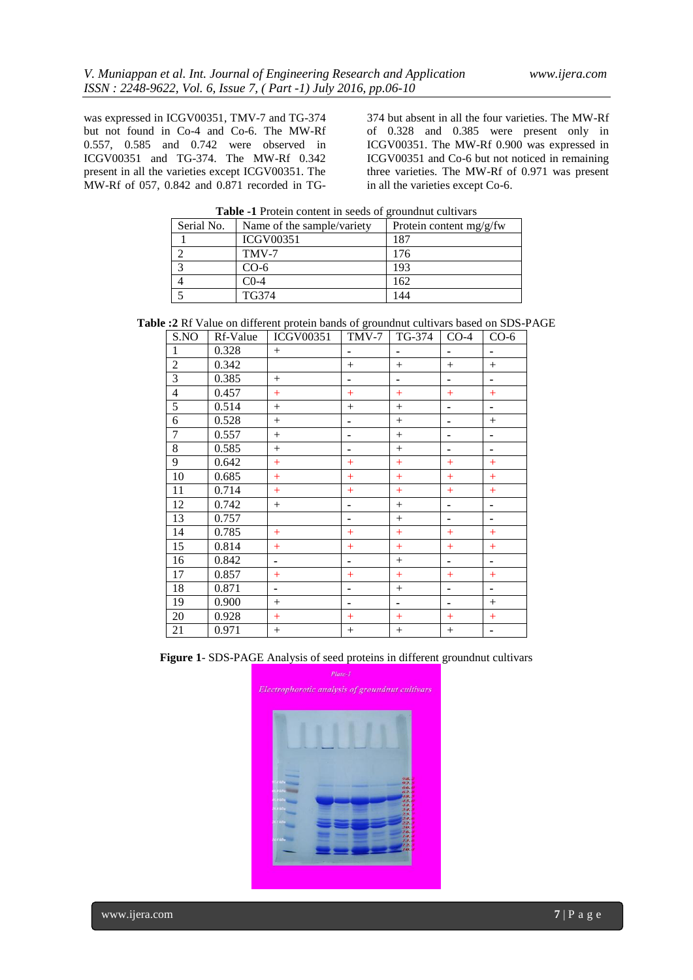was expressed in ICGV00351, TMV-7 and TG-374 but not found in Co-4 and Co-6. The MW-Rf 0.557, 0.585 and 0.742 were observed in ICGV00351 and TG-374. The MW-Rf 0.342 present in all the varieties except ICGV00351. The MW-Rf of 057, 0.842 and 0.871 recorded in TG-

374 but absent in all the four varieties. The MW-Rf of 0.328 and 0.385 were present only in ICGV00351. The MW-Rf 0.900 was expressed in ICGV00351 and Co-6 but not noticed in remaining three varieties. The MW-Rf of 0.971 was present in all the varieties except Co-6.

| <b>Table -1</b> Protein content in seeds of grounding cultivals |                                                         |     |  |  |  |  |  |
|-----------------------------------------------------------------|---------------------------------------------------------|-----|--|--|--|--|--|
| Serial No.                                                      | Protein content $mg/g/fw$<br>Name of the sample/variety |     |  |  |  |  |  |
|                                                                 | <b>ICGV00351</b>                                        | 187 |  |  |  |  |  |
|                                                                 | TMV-7                                                   | 176 |  |  |  |  |  |
|                                                                 | $CO-6$                                                  | 193 |  |  |  |  |  |
|                                                                 | $C0-4$                                                  | 162 |  |  |  |  |  |
|                                                                 | TG374                                                   |     |  |  |  |  |  |

**Table -1** Protein content in seeds of groundnut cultivars

|  | Table :2 Rf Value on different protein bands of groundnut cultivars based on SDS-PAGE |  |
|--|---------------------------------------------------------------------------------------|--|
|--|---------------------------------------------------------------------------------------|--|

| S.NO           | Rf-Value | <b>ICGV00351</b> | TMV-7  | TG-374          | $CO-4$         | $CO-6$         |
|----------------|----------|------------------|--------|-----------------|----------------|----------------|
| 1              | 0.328    | $^{+}$           |        |                 | ä,             | ۰              |
| $\overline{c}$ | 0.342    |                  | $^{+}$ | $+$             | $^{+}$         | $^{+}$         |
| $\overline{3}$ | 0.385    | $^{+}$           |        | $\blacksquare$  | ٠              | $\blacksquare$ |
| $\overline{4}$ | 0.457    | $+$              | $^{+}$ | $+$             | $+$            | $+$            |
| $\overline{5}$ | 0.514    | $+$              | $^{+}$ | $+$             | ۰              | $\blacksquare$ |
| 6              | 0.528    | $+$              |        | $+$             | -              | $^{+}$         |
| $\overline{7}$ | 0.557    | $^{+}$           |        | $\! + \!\!\!\!$ | -              | ۰              |
| $8\,$          | 0.585    | $^{+}$           |        | $^{+}$          |                | ۰              |
| 9              | 0.642    | $+$              | $+$    | $+$             | $+$            | $+$            |
| 10             | 0.685    | $+$              | $^{+}$ | $+$             | $+$            | $+$            |
| 11             | 0.714    | $+$              | $+$    | $^{+}$          | $+$            | $+$            |
| 12             | 0.742    | $+$              | -      | $^{+}$          | $\blacksquare$ | $\blacksquare$ |
| 13             | 0.757    |                  | -      | $^{+}$          | -              | $\blacksquare$ |
| 14             | 0.785    | $+$              | $^{+}$ | $+$             | $+$            | $+$            |
| 15             | 0.814    | $+$              | $^{+}$ | $+$             | $+$            | $+$            |
| 16             | 0.842    | ٠                |        | $+$             | ٠              | $\blacksquare$ |
| 17             | 0.857    | $+$              | $^{+}$ | $+$             | $+$            | $+$            |
| 18             | 0.871    |                  |        | $^{+}$          | -              | ۰              |
| 19             | 0.900    | $^{+}$           |        | $\blacksquare$  | ٠              | $^{+}$         |
| 20             | 0.928    | $+$              | $+$    | $^{+}$          | $+$            | $+$            |
| 21             | 0.971    | $+$              | $+$    | $+$             | $+$            | ۰              |

**Figure 1**- SDS-PAGE Analysis of seed proteins in different groundnut cultivars

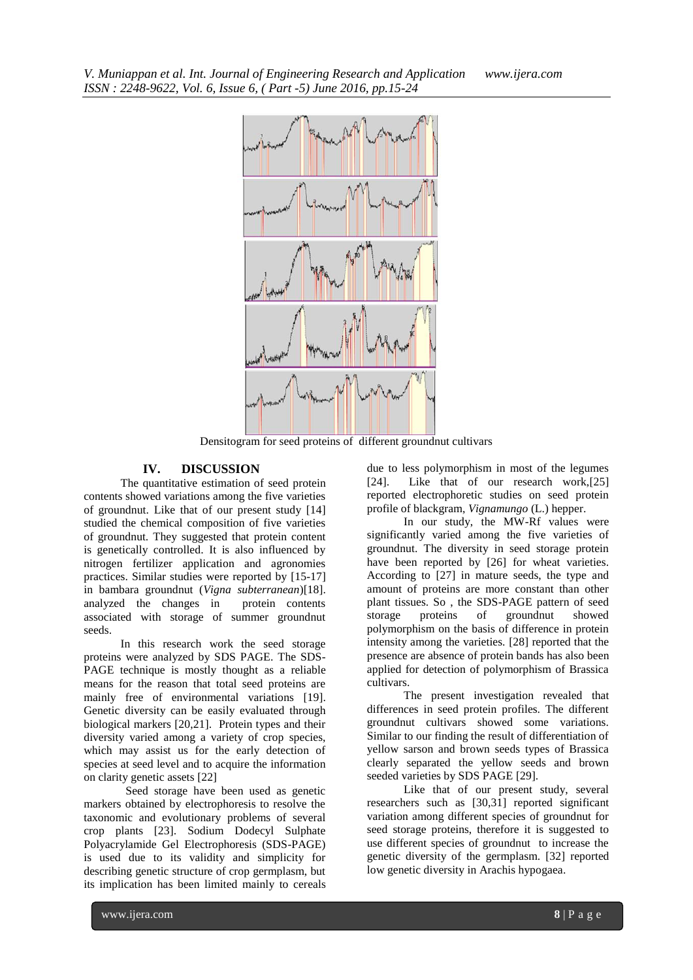*V. Muniappan et al. Int. Journal of Engineering Research and Application www.ijera.com ISSN : 2248-9622, Vol. 6, Issue 6, ( Part -5) June 2016, pp.15-24*



Densitogram for seed proteins of different groundnut cultivars

## **IV. DISCUSSION**

The quantitative estimation of seed protein contents showed variations among the five varieties of groundnut. Like that of our present study [14] studied the chemical composition of five varieties of groundnut. They suggested that protein content is genetically controlled. It is also influenced by nitrogen fertilizer application and agronomies practices. Similar studies were reported by [15-17] in bambara groundnut (*Vigna subterranean*)[18]. analyzed the changes in protein contents associated with storage of summer groundnut seeds.

In this research work the seed storage proteins were analyzed by SDS PAGE. The SDS-PAGE technique is mostly thought as a reliable means for the reason that total seed proteins are mainly free of environmental variations [19]. Genetic diversity can be easily evaluated through biological markers [20,21]. Protein types and their diversity varied among a variety of crop species, which may assist us for the early detection of species at seed level and to acquire the information on clarity genetic assets [22]

Seed storage have been used as genetic markers obtained by electrophoresis to resolve the taxonomic and evolutionary problems of several crop plants [23]. Sodium Dodecyl Sulphate Polyacrylamide Gel Electrophoresis (SDS-PAGE) is used due to its validity and simplicity for describing genetic structure of crop germplasm, but its implication has been limited mainly to cereals

due to less polymorphism in most of the legumes [24]. Like that of our research work, [25] reported electrophoretic studies on seed protein profile of blackgram, *Vignamungo* (L.) hepper.

In our study, the MW-Rf values were significantly varied among the five varieties of groundnut. The diversity in seed storage protein have been reported by [26] for wheat varieties. According to [27] in mature seeds, the type and amount of proteins are more constant than other plant tissues. So , the SDS-PAGE pattern of seed storage proteins of groundnut showed polymorphism on the basis of difference in protein intensity among the varieties. [28] reported that the presence are absence of protein bands has also been applied for detection of polymorphism of Brassica cultivars.

The present investigation revealed that differences in seed protein profiles. The different groundnut cultivars showed some variations. Similar to our finding the result of differentiation of yellow sarson and brown seeds types of Brassica clearly separated the yellow seeds and brown seeded varieties by SDS PAGE [29].

Like that of our present study, several researchers such as [30,31] reported significant variation among different species of groundnut for seed storage proteins, therefore it is suggested to use different species of groundnut to increase the genetic diversity of the germplasm. [32] reported low genetic diversity in Arachis hypogaea.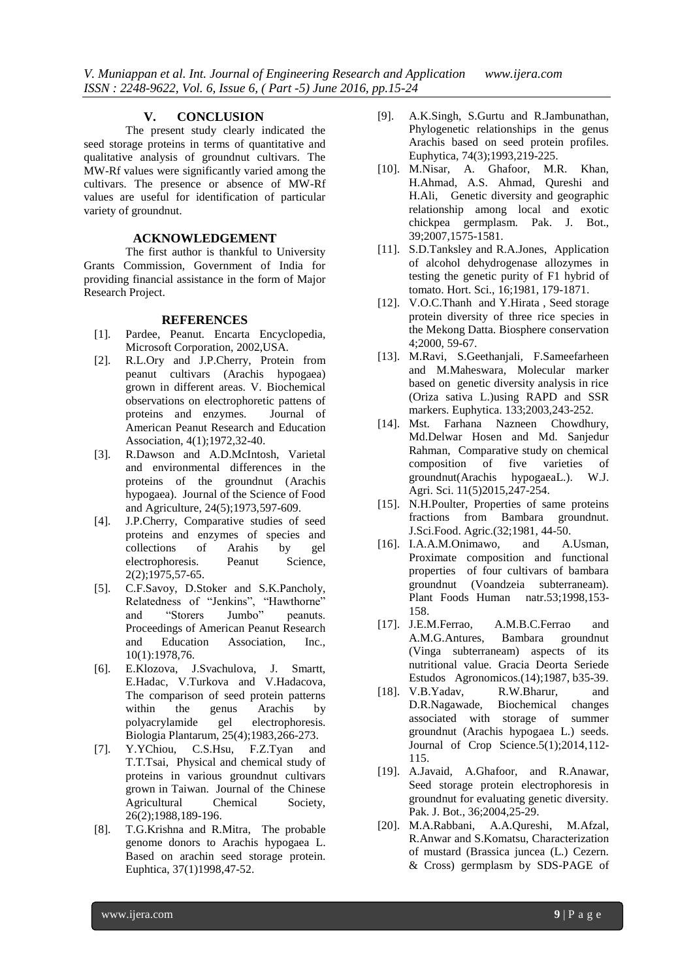# **V. CONCLUSION**

The present study clearly indicated the seed storage proteins in terms of quantitative and qualitative analysis of groundnut cultivars. The MW-Rf values were significantly varied among the cultivars. The presence or absence of MW-Rf values are useful for identification of particular variety of groundnut.

## **ACKNOWLEDGEMENT**

The first author is thankful to University Grants Commission, Government of India for providing financial assistance in the form of Major Research Project.

## **REFERENCES**

- [1]. Pardee, Peanut. Encarta Encyclopedia, Microsoft Corporation, 2002,USA.
- [2]. R.L.Ory and J.P.Cherry, Protein from peanut cultivars (Arachis hypogaea) grown in different areas. V. Biochemical observations on electrophoretic pattens of proteins and enzymes. Journal of American Peanut Research and Education Association, 4(1);1972,32-40.
- [3]. R.Dawson and A.D.McIntosh, Varietal and environmental differences in the proteins of the groundnut (Arachis hypogaea). Journal of the Science of Food and Agriculture, 24(5);1973,597-609.
- [4]. J.P.Cherry, Comparative studies of seed proteins and enzymes of species and collections of Arahis by gel electrophoresis. Peanut Science, 2(2);1975,57-65.
- [5]. C.F.Savoy, D.Stoker and S.K.Pancholy, Relatedness of "Jenkins", "Hawthorne" and "Storers Jumbo" peanuts. Proceedings of American Peanut Research and Education Association, Inc., 10(1):1978,76.
- [6]. E.Klozova, J.Svachulova, J. Smartt, E.Hadac, V.Turkova and V.Hadacova, The comparison of seed protein patterns within the genus Arachis by polyacrylamide gel electrophoresis. Biologia Plantarum, 25(4);1983,266-273.
- [7]. Y.YChiou, C.S.Hsu, F.Z.Tyan and T.T.Tsai, Physical and chemical study of proteins in various groundnut cultivars grown in Taiwan. Journal of the Chinese Agricultural Chemical Society, 26(2);1988,189-196.
- [8]. T.G.Krishna and R.Mitra, The probable genome donors to Arachis hypogaea L. Based on arachin seed storage protein. Euphtica, 37(1)1998,47-52.
- [9]. A.K.Singh, S.Gurtu and R.Jambunathan, Phylogenetic relationships in the genus Arachis based on seed protein profiles. Euphytica, 74(3);1993,219-225.
- [10]. M.Nisar, A. Ghafoor, M.R. Khan, H.Ahmad, A.S. Ahmad, Qureshi and H.Ali, Genetic diversity and geographic relationship among local and exotic chickpea germplasm. Pak. J. Bot., 39;2007,1575-1581.
- [11]. S.D.Tanksley and R.A.Jones, Application of alcohol dehydrogenase allozymes in testing the genetic purity of F1 hybrid of tomato. Hort. Sci., 16;1981, 179-1871.
- [12]. V.O.C.Thanh and Y.Hirata, Seed storage protein diversity of three rice species in the Mekong Datta. Biosphere conservation 4;2000, 59-67.
- [13]. M.Ravi, S.Geethanjali, F.Sameefarheen and M.Maheswara, Molecular marker based on genetic diversity analysis in rice (Oriza sativa L.)using RAPD and SSR markers. Euphytica. 133;2003,243-252.
- [14]. Mst. Farhana Nazneen Chowdhury, Md.Delwar Hosen and Md. Sanjedur Rahman, Comparative study on chemical composition of five varieties of groundnut(Arachis hypogaeaL.). W.J. Agri. Sci. 11(5)2015,247-254.
- [15]. N.H.Poulter, Properties of same proteins fractions from Bambara groundnut. J.Sci.Food. Agric.(32;1981, 44-50.
- [16]. I.A.A.M.Onimawo, and A.Usman, Proximate composition and functional properties of four cultivars of bambara groundnut (Voandzeia subterraneam). Plant Foods Human natr.53;1998,153- 158.
- [17]. J.E.M.Ferrao, A.M.B.C.Ferrao and A.M.G.Antures, Bambara groundnut (Vinga subterraneam) aspects of its nutritional value. Gracia Deorta Seriede Estudos Agronomicos.(14);1987, b35-39.
- [18]. V.B.Yadav, R.W.Bharur, and D.R.Nagawade, Biochemical changes associated with storage of summer groundnut (Arachis hypogaea L.) seeds. Journal of Crop Science.5(1);2014,112- 115.
- [19]. A.Javaid, A.Ghafoor, and R.Anawar, Seed storage protein electrophoresis in groundnut for evaluating genetic diversity. Pak. J. Bot., 36;2004,25-29.
- [20]. M.A.Rabbani, A.A.Qureshi, M.Afzal, R.Anwar and S.Komatsu, Characterization of mustard (Brassica juncea (L.) Cezern. & Cross) germplasm by SDS-PAGE of